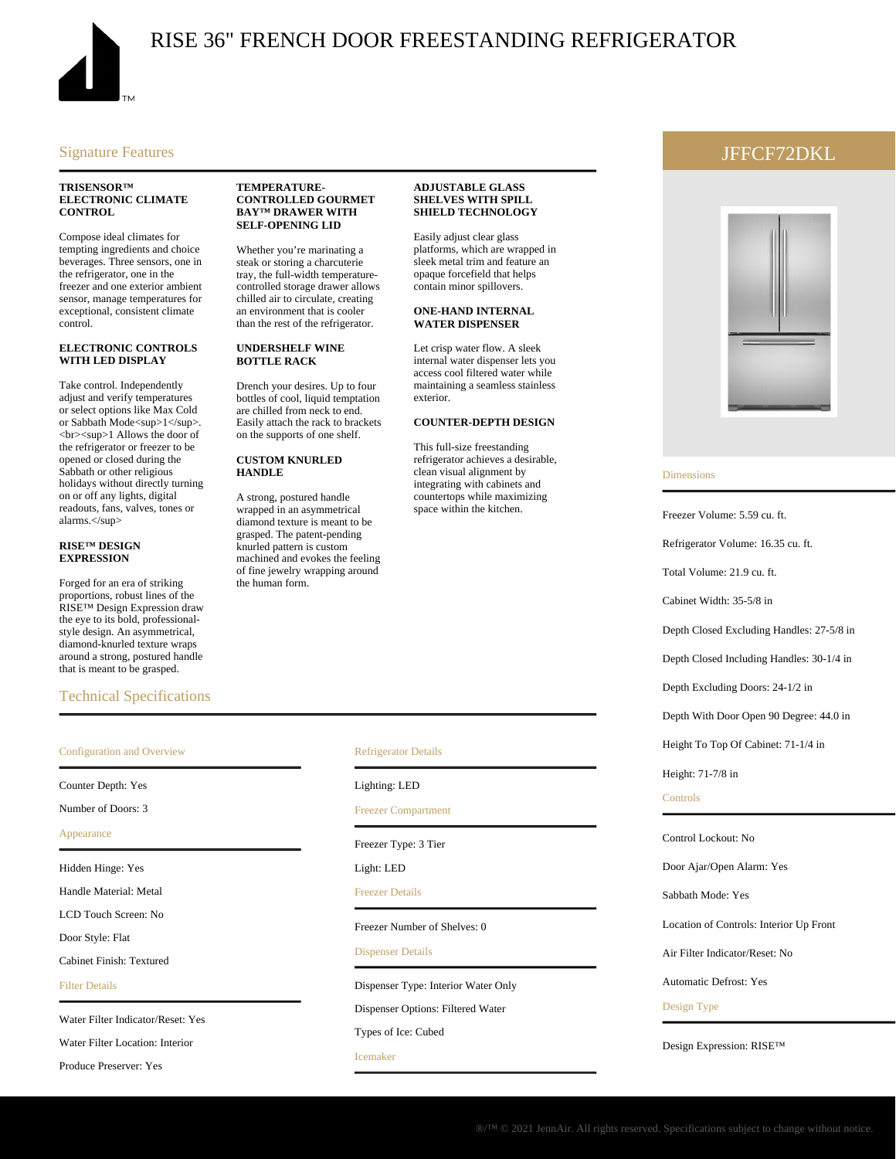

## RISE 36" FRENCH DOOR FREESTANDING REFRIGERATOR

#### Signature Features

#### **TRISENSOR™ ELECTRONIC CLIMATE CONTROL**

Compose ideal climates for tempting ingredients and choice beverages. Three sensors, one in the refrigerator, one in the freezer and one exterior ambient sensor, manage temperatures for exceptional, consistent climate control.

#### **ELECTRONIC CONTROLS WITH LED DISPLAY**

Take control. Independently adjust and verify temperatures or select options like Max Cold or Sabbath Mode<sup>1</sup> <br/>
str><sup>1 Allows the door of the refrigerator or freezer to be opened or closed during the Sabbath or other religious holidays without directly turning on or off any lights, digital readouts, fans, valves, tones or alarms.</sup>

#### **RISE™ DESIGN EXPRESSION**

Forged for an era of striking proportions, robust lines of the RISE™ Design Expression draw the eye to its bold, professionalstyle design. An asymmetrical, diamond-knurled texture wraps around a strong, postured handle that is meant to be grasped.

#### Technical Specifications

# Configuration and Overview

Counter Depth: Yes

Number of Doors: 3

Appearance

Hidden Hinge: Yes

Handle Material: Metal

LCD Touch Screen: No

Door Style: Flat

Cabinet Finish: Textured

Filter Details

Water Filter Indicator/Reset: Yes

Water Filter Location: Interior

Produce Preserver: Yes

#### **TEMPERATURE-CONTROLLED GOURMET BAY™ DRAWER WITH SELF-OPENING LID**

Whether you're marinating a steak or storing a charcuterie tray, the full-width temperaturecontrolled storage drawer allows chilled air to circulate, creating an environment that is cooler than the rest of the refrigerator.

#### **UNDERSHELF WINE BOTTLE RACK**

Drench your desires. Up to four bottles of cool, liquid temptation are chilled from neck to end. Easily attach the rack to brackets on the supports of one shelf.

#### **CUSTOM KNURLED HANDLE**

A strong, postured handle wrapped in an asymmetrical diamond texture is meant to be grasped. The patent-pending knurled pattern is custom machined and evokes the feeling of fine jewelry wrapping around the human form.

#### **ADJUSTABLE GLASS SHELVES WITH SPILL SHIELD TECHNOLOGY**

Easily adjust clear glass platforms, which are wrapped in sleek metal trim and feature an opaque forcefield that helps contain minor spillovers.

#### **ONE-HAND INTERNAL WATER DISPENSER**

Let crisp water flow. A sleek internal water dispenser lets you access cool filtered water while maintaining a seamless stainless exterior.

#### **COUNTER-DEPTH DESIGN**

This full-size freestanding refrigerator achieves a desirable, clean visual alignment by integrating with cabinets and countertops while maximizing space within the kitchen.

#### Refrigerator Details

#### Lighting: LED

#### Freezer Compartment

Freezer Type: 3 Tier

Light: LED

Freezer Details

Freezer Number of Shelves: 0

#### Dispenser Details

Dispenser Type: Interior Water Only

Dispenser Options: Filtered Water

Types of Ice: Cubed

Icemaker

### JFFCF72DKL



#### Dimensions

Freezer Volume: 5.59 cu. ft.

Refrigerator Volume: 16.35 cu. ft.

Total Volume: 21.9 cu. ft.

Cabinet Width: 35-5/8 in

Depth Closed Excluding Handles: 27-5/8 in

Depth Closed Including Handles: 30-1/4 in

Depth Excluding Doors: 24-1/2 in

Depth With Door Open 90 Degree: 44.0 in

Height To Top Of Cabinet: 71-1/4 in

Height: 71-7/8 in

#### **Controls**

Control Lockout: No

Door Ajar/Open Alarm: Yes

Sabbath Mode: Yes

Location of Controls: Interior Up Front

Air Filter Indicator/Reset: No

Automatic Defrost: Yes

#### Design Type

Design Expression: RISE™